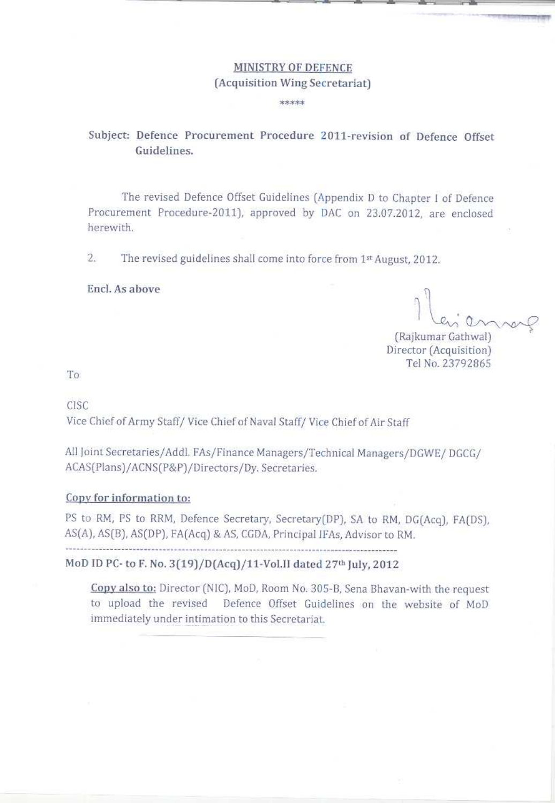## MINISTRY OF DEFENCE (Acquisition Wing Secretariat)

\*\*\*\*\*

#### Subject: Defence Procurement Procedure 2011-revision of Defence Offset Guidelines.

The revised Defence Offset Guidelines (Appendix D to Chapter I of Defence Procurement Procedure-2011), approved by DAC on 23.07.2012, are enclosed herewith.

 $\overline{2}$ . The revised guidelines shall come into force from 1st August, 2012.

#### Encl. As above

(Rajkumar Gathwal) Director (Acquisition) Tel No. 23792865

To

CISC

Vice Chief of Army Staff/Vice Chief of Naval Staff/Vice Chief of Air Staff

All Joint Secretaries/Addl. FAs/Finance Managers/Technical Managers/DGWE/DGCG/ ACAS(Plans)/ACNS(P&P)/Directors/Dy. Secretaries.

#### Copy for information to:

PS to RM, PS to RRM, Defence Secretary, Secretary(DP), SA to RM, DG(Acq), FA(DS), AS(A), AS(B), AS(DP), FA(Acq) & AS, CGDA, Principal IFAs, Advisor to RM. 

#### MoD ID PC- to F. No. 3(19)/D(Acq)/11-Vol.II dated 27th July, 2012

Copy also to: Director (NIC), MoD, Room No. 305-B, Sena Bhavan-with the request to upload the revised Defence Offset Guidelines on the website of MoD immediately under intimation to this Secretariat.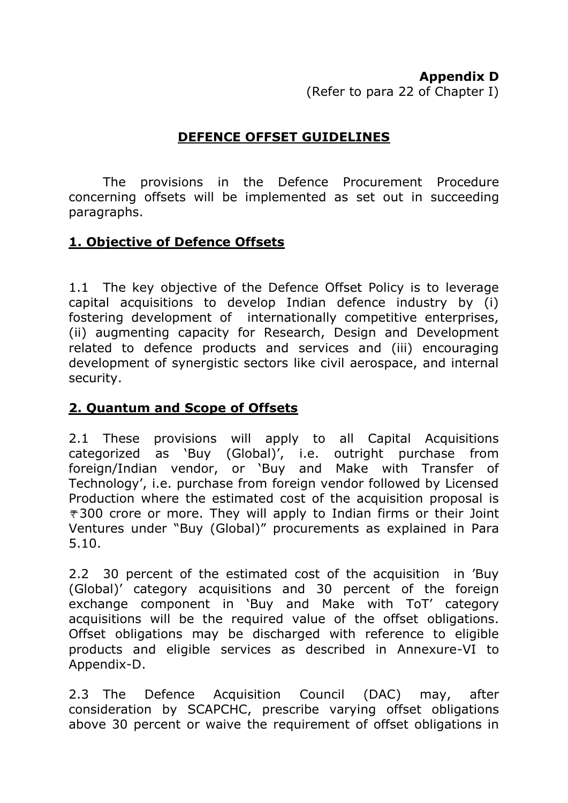#### **Appendix D**

(Refer to para 22 of Chapter I)

## **DEFENCE OFFSET GUIDELINES**

The provisions in the Defence Procurement Procedure concerning offsets will be implemented as set out in succeeding paragraphs.

## **1. Objective of Defence Offsets**

1.1 The key objective of the Defence Offset Policy is to leverage capital acquisitions to develop Indian defence industry by (i) fostering development of internationally competitive enterprises, (ii) augmenting capacity for Research, Design and Development related to defence products and services and (iii) encouraging development of synergistic sectors like civil aerospace, and internal security.

### **2. Quantum and Scope of Offsets**

2.1 These provisions will apply to all Capital Acquisitions categorized as 'Buy (Global)', i.e. outright purchase from foreign/Indian vendor, or 'Buy and Make with Transfer of Technology', i.e. purchase from foreign vendor followed by Licensed Production where the estimated cost of the acquisition proposal is  $\overline{\tau}$ 300 crore or more. They will apply to Indian firms or their Joint Ventures under "Buy (Global)" procurements as explained in Para 5.10.

2.2 30 percent of the estimated cost of the acquisition in 'Buy (Global)' category acquisitions and 30 percent of the foreign exchange component in 'Buy and Make with ToT' category acquisitions will be the required value of the offset obligations. Offset obligations may be discharged with reference to eligible products and eligible services as described in Annexure-VI to Appendix-D.

2.3 The Defence Acquisition Council (DAC) may, after consideration by SCAPCHC, prescribe varying offset obligations above 30 percent or waive the requirement of offset obligations in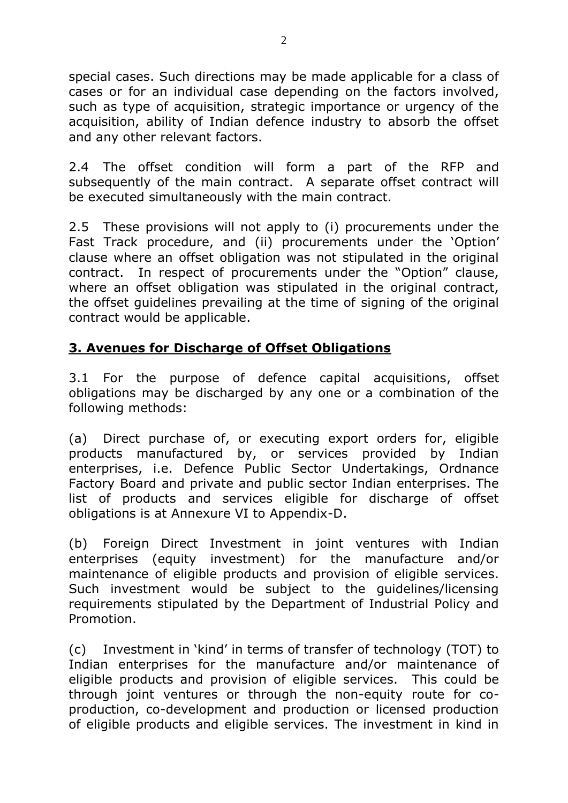special cases. Such directions may be made applicable for a class of cases or for an individual case depending on the factors involved, such as type of acquisition, strategic importance or urgency of the acquisition, ability of Indian defence industry to absorb the offset and any other relevant factors.

2.4 The offset condition will form a part of the RFP and subsequently of the main contract. A separate offset contract will be executed simultaneously with the main contract.

2.5 These provisions will not apply to (i) procurements under the Fast Track procedure, and (ii) procurements under the 'Option' clause where an offset obligation was not stipulated in the original contract.In respect of procurements under the "Option" clause, where an offset obligation was stipulated in the original contract, the offset guidelines prevailing at the time of signing of the original contract would be applicable.

## **3. Avenues for Discharge of Offset Obligations**

3.1 For the purpose of defence capital acquisitions, offset obligations may be discharged by any one or a combination of the following methods:

(a) Direct purchase of, or executing export orders for, eligible products manufactured by, or services provided by Indian enterprises, i.e. Defence Public Sector Undertakings, Ordnance Factory Board and private and public sector Indian enterprises. The list of products and services eligible for discharge of offset obligations is at Annexure VI to Appendix-D.

(b) Foreign Direct Investment in joint ventures with Indian enterprises (equity investment) for the manufacture and/or maintenance of eligible products and provision of eligible services. Such investment would be subject to the guidelines/licensing requirements stipulated by the Department of Industrial Policy and Promotion.

(c) Investment in 'kind' in terms of transfer of technology (TOT) to Indian enterprises for the manufacture and/or maintenance of eligible products and provision of eligible services. This could be through joint ventures or through the non-equity route for coproduction, co-development and production or licensed production of eligible products and eligible services. The investment in kind in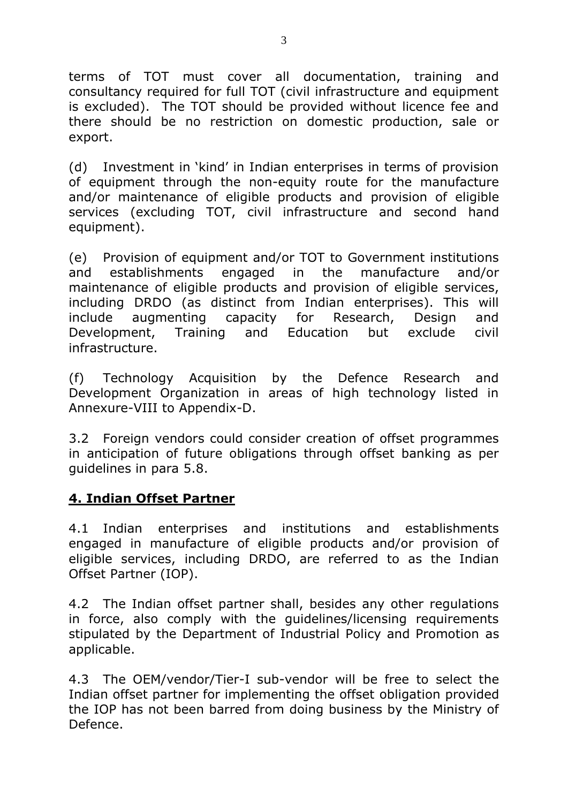terms of TOT must cover all documentation, training and consultancy required for full TOT (civil infrastructure and equipment is excluded). The TOT should be provided without licence fee and there should be no restriction on domestic production, sale or export.

(d) Investment in 'kind' in Indian enterprises in terms of provision of equipment through the non-equity route for the manufacture and/or maintenance of eligible products and provision of eligible services (excluding TOT, civil infrastructure and second hand equipment).

(e) Provision of equipment and/or TOT to Government institutions and establishments engaged in the manufacture and/or maintenance of eligible products and provision of eligible services, including DRDO (as distinct from Indian enterprises). This will include augmenting capacity for Research, Design and Development, Training and Education but exclude civil infrastructure.

(f) Technology Acquisition by the Defence Research and Development Organization in areas of high technology listed in Annexure-VIII to Appendix-D.

3.2 Foreign vendors could consider creation of offset programmes in anticipation of future obligations through offset banking as per guidelines in para 5.8.

## **4. Indian Offset Partner**

4.1 Indian enterprises and institutions and establishments engaged in manufacture of eligible products and/or provision of eligible services, including DRDO, are referred to as the Indian Offset Partner (IOP).

4.2 The Indian offset partner shall, besides any other regulations in force, also comply with the guidelines/licensing requirements stipulated by the Department of Industrial Policy and Promotion as applicable.

4.3 The OEM/vendor/Tier-I sub-vendor will be free to select the Indian offset partner for implementing the offset obligation provided the IOP has not been barred from doing business by the Ministry of Defence.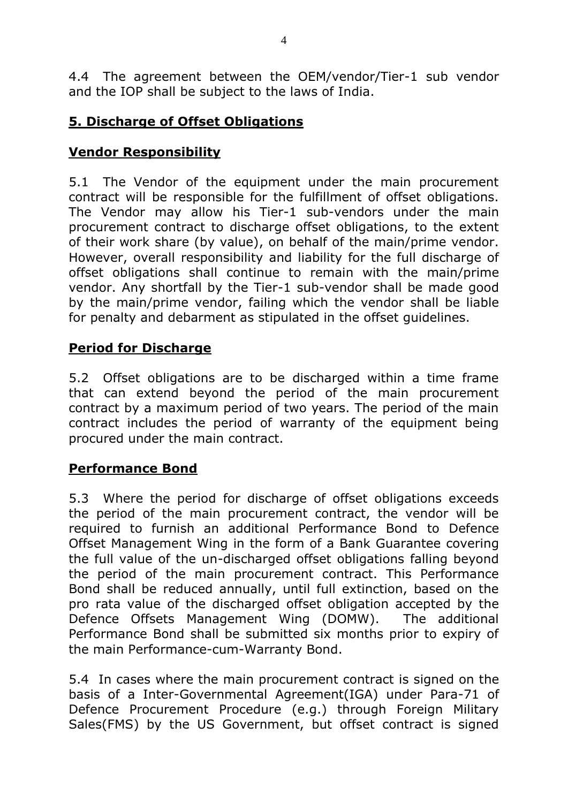4.4 The agreement between the OEM/vendor/Tier-1 sub vendor and the IOP shall be subject to the laws of India.

## **5. Discharge of Offset Obligations**

# **Vendor Responsibility**

5.1 The Vendor of the equipment under the main procurement contract will be responsible for the fulfillment of offset obligations. The Vendor may allow his Tier-1 sub-vendors under the main procurement contract to discharge offset obligations, to the extent of their work share (by value), on behalf of the main/prime vendor. However, overall responsibility and liability for the full discharge of offset obligations shall continue to remain with the main/prime vendor. Any shortfall by the Tier-1 sub-vendor shall be made good by the main/prime vendor, failing which the vendor shall be liable for penalty and debarment as stipulated in the offset guidelines.

## **Period for Discharge**

5.2 Offset obligations are to be discharged within a time frame that can extend beyond the period of the main procurement contract by a maximum period of two years. The period of the main contract includes the period of warranty of the equipment being procured under the main contract.

## **Performance Bond**

5.3 Where the period for discharge of offset obligations exceeds the period of the main procurement contract, the vendor will be required to furnish an additional Performance Bond to Defence Offset Management Wing in the form of a Bank Guarantee covering the full value of the un-discharged offset obligations falling beyond the period of the main procurement contract. This Performance Bond shall be reduced annually, until full extinction, based on the pro rata value of the discharged offset obligation accepted by the Defence Offsets Management Wing (DOMW). The additional Performance Bond shall be submitted six months prior to expiry of the main Performance-cum-Warranty Bond.

5.4 In cases where the main procurement contract is signed on the basis of a Inter-Governmental Agreement(IGA) under Para-71 of Defence Procurement Procedure (e.g.) through Foreign Military Sales(FMS) by the US Government, but offset contract is signed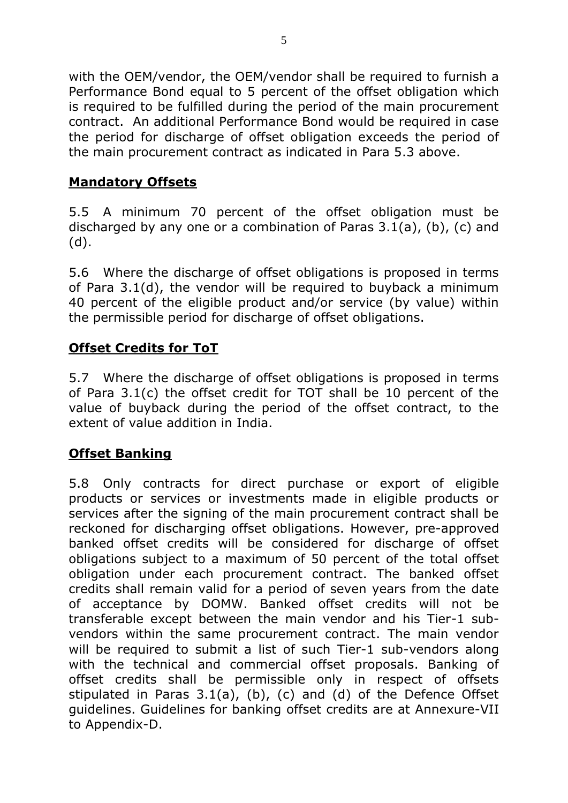with the OEM/vendor, the OEM/vendor shall be required to furnish a Performance Bond equal to 5 percent of the offset obligation which is required to be fulfilled during the period of the main procurement contract. An additional Performance Bond would be required in case the period for discharge of offset obligation exceeds the period of the main procurement contract as indicated in Para 5.3 above.

## **Mandatory Offsets**

5.5 A minimum 70 percent of the offset obligation must be discharged by any one or a combination of Paras 3.1(a), (b), (c) and (d).

5.6 Where the discharge of offset obligations is proposed in terms of Para 3.1(d), the vendor will be required to buyback a minimum 40 percent of the eligible product and/or service (by value) within the permissible period for discharge of offset obligations.

## **Offset Credits for ToT**

5.7 Where the discharge of offset obligations is proposed in terms of Para 3.1(c) the offset credit for TOT shall be 10 percent of the value of buyback during the period of the offset contract, to the extent of value addition in India.

## **Offset Banking**

5.8 Only contracts for direct purchase or export of eligible products or services or investments made in eligible products or services after the signing of the main procurement contract shall be reckoned for discharging offset obligations. However, pre-approved banked offset credits will be considered for discharge of offset obligations subject to a maximum of 50 percent of the total offset obligation under each procurement contract. The banked offset credits shall remain valid for a period of seven years from the date of acceptance by DOMW. Banked offset credits will not be transferable except between the main vendor and his Tier-1 subvendors within the same procurement contract. The main vendor will be required to submit a list of such Tier-1 sub-vendors along with the technical and commercial offset proposals. Banking of offset credits shall be permissible only in respect of offsets stipulated in Paras 3.1(a), (b), (c) and (d) of the Defence Offset guidelines. Guidelines for banking offset credits are at Annexure-VII to Appendix-D.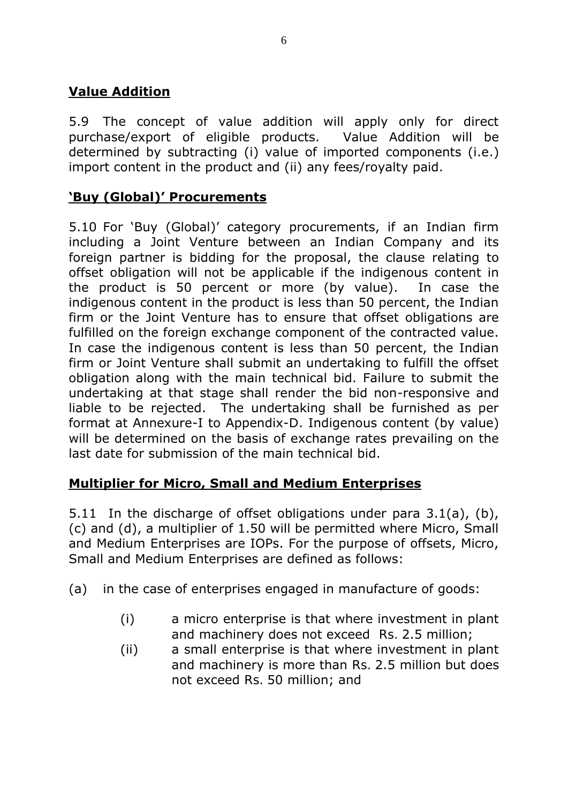# **Value Addition**

5.9 The concept of value addition will apply only for direct purchase/export of eligible products. Value Addition will be determined by subtracting (i) value of imported components (i.e.) import content in the product and (ii) any fees/royalty paid.

## **'Buy (Global)' Procurements**

5.10 For 'Buy (Global)' category procurements, if an Indian firm including a Joint Venture between an Indian Company and its foreign partner is bidding for the proposal, the clause relating to offset obligation will not be applicable if the indigenous content in the product is 50 percent or more (by value). In case the indigenous content in the product is less than 50 percent, the Indian firm or the Joint Venture has to ensure that offset obligations are fulfilled on the foreign exchange component of the contracted value. In case the indigenous content is less than 50 percent, the Indian firm or Joint Venture shall submit an undertaking to fulfill the offset obligation along with the main technical bid. Failure to submit the undertaking at that stage shall render the bid non-responsive and liable to be rejected. The undertaking shall be furnished as per format at Annexure-I to Appendix-D. Indigenous content (by value) will be determined on the basis of exchange rates prevailing on the last date for submission of the main technical bid.

#### **Multiplier for Micro, Small and Medium Enterprises**

5.11 In the discharge of offset obligations under para 3.1(a), (b), (c) and (d), a multiplier of 1.50 will be permitted where Micro, Small and Medium Enterprises are IOPs. For the purpose of offsets, Micro, Small and Medium Enterprises are defined as follows:

- (a) in the case of enterprises engaged in manufacture of goods:
	- (i) a micro enterprise is that where investment in plant and machinery does not exceed Rs. 2.5 million;
	- (ii) a small enterprise is that where investment in plant and machinery is more than Rs. 2.5 million but does not exceed Rs. 50 million; and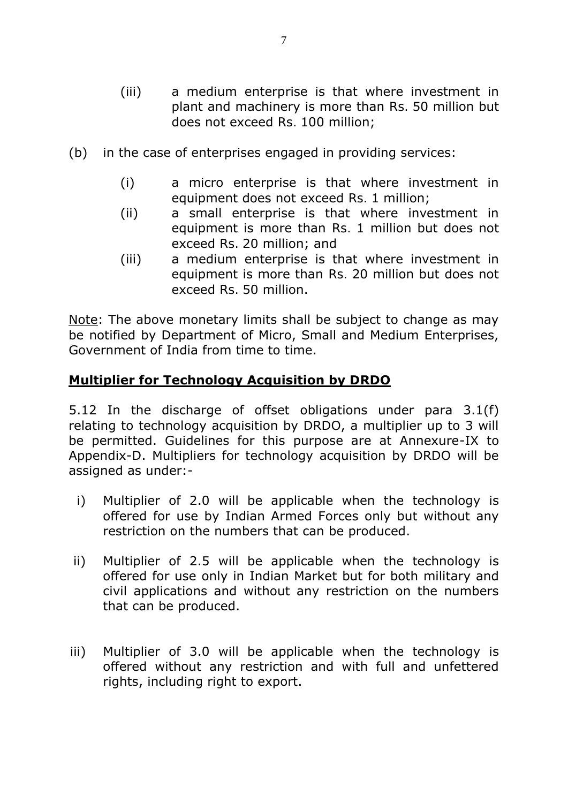- (iii) a medium enterprise is that where investment in plant and machinery is more than Rs. 50 million but does not exceed Rs. 100 million;
- (b) in the case of enterprises engaged in providing services:
	- (i) a micro enterprise is that where investment in equipment does not exceed Rs. 1 million;
	- (ii) a small enterprise is that where investment in equipment is more than Rs. 1 million but does not exceed Rs. 20 million; and
	- (iii) a medium enterprise is that where investment in equipment is more than Rs. 20 million but does not exceed Rs. 50 million.

Note: The above monetary limits shall be subject to change as may be notified by Department of Micro, Small and Medium Enterprises, Government of India from time to time.

#### **Multiplier for Technology Acquisition by DRDO**

5.12 In the discharge of offset obligations under para 3.1(f) relating to technology acquisition by DRDO, a multiplier up to 3 will be permitted. Guidelines for this purpose are at Annexure-IX to Appendix-D. Multipliers for technology acquisition by DRDO will be assigned as under:-

- i) Multiplier of 2.0 will be applicable when the technology is offered for use by Indian Armed Forces only but without any restriction on the numbers that can be produced.
- ii) Multiplier of 2.5 will be applicable when the technology is offered for use only in Indian Market but for both military and civil applications and without any restriction on the numbers that can be produced.
- iii) Multiplier of 3.0 will be applicable when the technology is offered without any restriction and with full and unfettered rights, including right to export.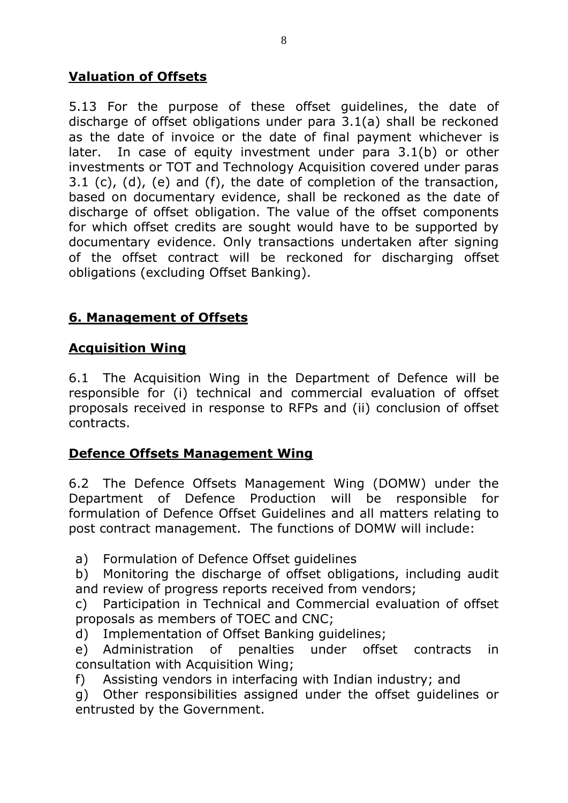# **Valuation of Offsets**

5.13 For the purpose of these offset guidelines, the date of discharge of offset obligations under para 3.1(a) shall be reckoned as the date of invoice or the date of final payment whichever is later. In case of equity investment under para 3.1(b) or other investments or TOT and Technology Acquisition covered under paras 3.1 (c), (d), (e) and (f), the date of completion of the transaction, based on documentary evidence, shall be reckoned as the date of discharge of offset obligation. The value of the offset components for which offset credits are sought would have to be supported by documentary evidence. Only transactions undertaken after signing of the offset contract will be reckoned for discharging offset obligations (excluding Offset Banking).

# **6. Management of Offsets**

## **Acquisition Wing**

6.1 The Acquisition Wing in the Department of Defence will be responsible for (i) technical and commercial evaluation of offset proposals received in response to RFPs and (ii) conclusion of offset contracts.

## **Defence Offsets Management Wing**

6.2 The Defence Offsets Management Wing (DOMW) under the Department of Defence Production will be responsible for formulation of Defence Offset Guidelines and all matters relating to post contract management. The functions of DOMW will include:

a) Formulation of Defence Offset guidelines

b) Monitoring the discharge of offset obligations, including audit and review of progress reports received from vendors;

c) Participation in Technical and Commercial evaluation of offset proposals as members of TOEC and CNC;

d) Implementation of Offset Banking guidelines;

e) Administration of penalties under offset contracts in consultation with Acquisition Wing;

f) Assisting vendors in interfacing with Indian industry; and

g) Other responsibilities assigned under the offset guidelines or entrusted by the Government.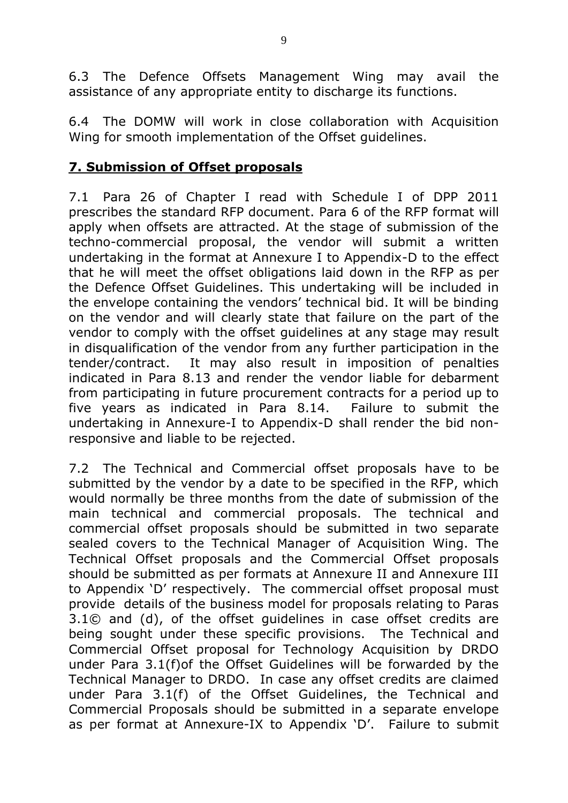6.3 The Defence Offsets Management Wing may avail the assistance of any appropriate entity to discharge its functions.

6.4 The DOMW will work in close collaboration with Acquisition Wing for smooth implementation of the Offset guidelines.

## **7. Submission of Offset proposals**

7.1 Para 26 of Chapter I read with Schedule I of DPP 2011 prescribes the standard RFP document. Para 6 of the RFP format will apply when offsets are attracted. At the stage of submission of the techno-commercial proposal, the vendor will submit a written undertaking in the format at Annexure I to Appendix-D to the effect that he will meet the offset obligations laid down in the RFP as per the Defence Offset Guidelines. This undertaking will be included in the envelope containing the vendors' technical bid. It will be binding on the vendor and will clearly state that failure on the part of the vendor to comply with the offset guidelines at any stage may result in disqualification of the vendor from any further participation in the tender/contract. It may also result in imposition of penalties indicated in Para 8.13 and render the vendor liable for debarment from participating in future procurement contracts for a period up to five years as indicated in Para 8.14. Failure to submit the undertaking in Annexure-I to Appendix-D shall render the bid nonresponsive and liable to be rejected.

7.2 The Technical and Commercial offset proposals have to be submitted by the vendor by a date to be specified in the RFP, which would normally be three months from the date of submission of the main technical and commercial proposals. The technical and commercial offset proposals should be submitted in two separate sealed covers to the Technical Manager of Acquisition Wing. The Technical Offset proposals and the Commercial Offset proposals should be submitted as per formats at Annexure II and Annexure III to Appendix 'D' respectively. The commercial offset proposal must provide details of the business model for proposals relating to Paras 3.1© and (d), of the offset guidelines in case offset credits are being sought under these specific provisions. The Technical and Commercial Offset proposal for Technology Acquisition by DRDO under Para 3.1(f)of the Offset Guidelines will be forwarded by the Technical Manager to DRDO. In case any offset credits are claimed under Para 3.1(f) of the Offset Guidelines, the Technical and Commercial Proposals should be submitted in a separate envelope as per format at Annexure-IX to Appendix 'D'. Failure to submit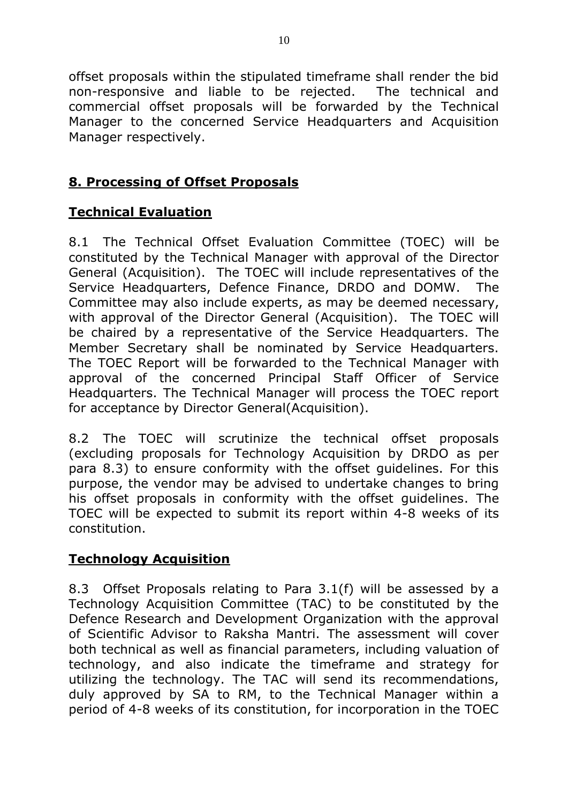offset proposals within the stipulated timeframe shall render the bid non-responsive and liable to be rejected. The technical and commercial offset proposals will be forwarded by the Technical Manager to the concerned Service Headquarters and Acquisition Manager respectively.

## **8. Processing of Offset Proposals**

## **Technical Evaluation**

8.1 The Technical Offset Evaluation Committee (TOEC) will be constituted by the Technical Manager with approval of the Director General (Acquisition). The TOEC will include representatives of the Service Headquarters, Defence Finance, DRDO and DOMW. The Committee may also include experts, as may be deemed necessary, with approval of the Director General (Acquisition). The TOEC will be chaired by a representative of the Service Headquarters. The Member Secretary shall be nominated by Service Headquarters. The TOEC Report will be forwarded to the Technical Manager with approval of the concerned Principal Staff Officer of Service Headquarters. The Technical Manager will process the TOEC report for acceptance by Director General(Acquisition).

8.2 The TOEC will scrutinize the technical offset proposals (excluding proposals for Technology Acquisition by DRDO as per para 8.3) to ensure conformity with the offset guidelines. For this purpose, the vendor may be advised to undertake changes to bring his offset proposals in conformity with the offset guidelines. The TOEC will be expected to submit its report within 4-8 weeks of its constitution.

#### **Technology Acquisition**

8.3 Offset Proposals relating to Para 3.1(f) will be assessed by a Technology Acquisition Committee (TAC) to be constituted by the Defence Research and Development Organization with the approval of Scientific Advisor to Raksha Mantri. The assessment will cover both technical as well as financial parameters, including valuation of technology, and also indicate the timeframe and strategy for utilizing the technology. The TAC will send its recommendations, duly approved by SA to RM, to the Technical Manager within a period of 4-8 weeks of its constitution, for incorporation in the TOEC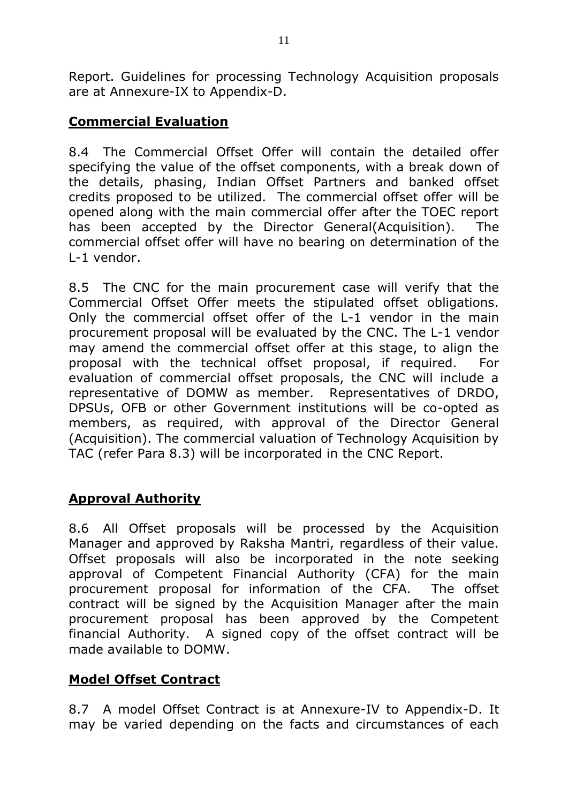Report. Guidelines for processing Technology Acquisition proposals are at Annexure-IX to Appendix-D.

## **Commercial Evaluation**

8.4 The Commercial Offset Offer will contain the detailed offer specifying the value of the offset components, with a break down of the details, phasing, Indian Offset Partners and banked offset credits proposed to be utilized. The commercial offset offer will be opened along with the main commercial offer after the TOEC report has been accepted by the Director General(Acquisition). The commercial offset offer will have no bearing on determination of the L-1 vendor.

8.5 The CNC for the main procurement case will verify that the Commercial Offset Offer meets the stipulated offset obligations. Only the commercial offset offer of the L-1 vendor in the main procurement proposal will be evaluated by the CNC. The L-1 vendor may amend the commercial offset offer at this stage, to align the proposal with the technical offset proposal, if required. For evaluation of commercial offset proposals, the CNC will include a representative of DOMW as member. Representatives of DRDO, DPSUs, OFB or other Government institutions will be co-opted as members, as required, with approval of the Director General (Acquisition). The commercial valuation of Technology Acquisition by TAC (refer Para 8.3) will be incorporated in the CNC Report.

#### **Approval Authority**

8.6 All Offset proposals will be processed by the Acquisition Manager and approved by Raksha Mantri, regardless of their value. Offset proposals will also be incorporated in the note seeking approval of Competent Financial Authority (CFA) for the main procurement proposal for information of the CFA. The offset contract will be signed by the Acquisition Manager after the main procurement proposal has been approved by the Competent financial Authority. A signed copy of the offset contract will be made available to DOMW.

#### **Model Offset Contract**

8.7 A model Offset Contract is at Annexure-IV to Appendix-D. It may be varied depending on the facts and circumstances of each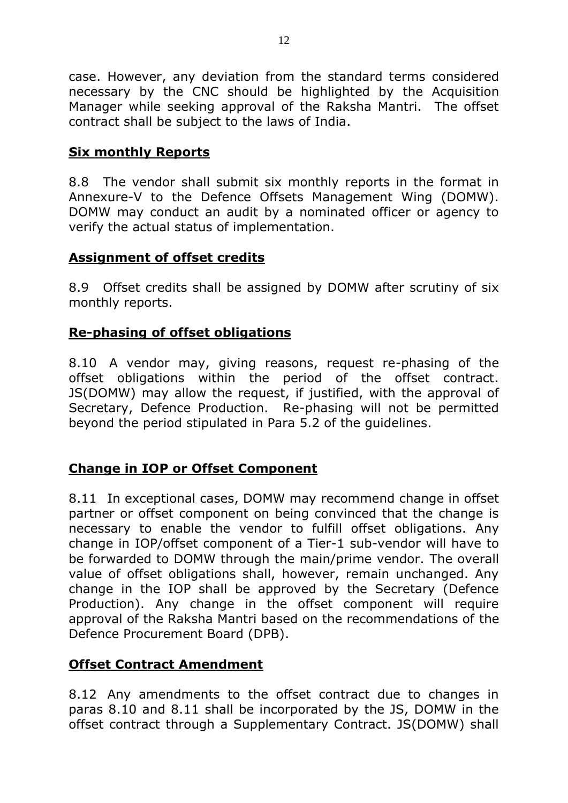case. However, any deviation from the standard terms considered necessary by the CNC should be highlighted by the Acquisition Manager while seeking approval of the Raksha Mantri. The offset contract shall be subject to the laws of India.

## **Six monthly Reports**

8.8 The vendor shall submit six monthly reports in the format in Annexure-V to the Defence Offsets Management Wing (DOMW). DOMW may conduct an audit by a nominated officer or agency to verify the actual status of implementation.

#### **Assignment of offset credits**

8.9 Offset credits shall be assigned by DOMW after scrutiny of six monthly reports.

## **Re-phasing of offset obligations**

8.10 A vendor may, giving reasons, request re-phasing of the offset obligations within the period of the offset contract. JS(DOMW) may allow the request, if justified, with the approval of Secretary, Defence Production. Re-phasing will not be permitted beyond the period stipulated in Para 5.2 of the guidelines.

#### **Change in IOP or Offset Component**

8.11 In exceptional cases, DOMW may recommend change in offset partner or offset component on being convinced that the change is necessary to enable the vendor to fulfill offset obligations. Any change in IOP/offset component of a Tier-1 sub-vendor will have to be forwarded to DOMW through the main/prime vendor. The overall value of offset obligations shall, however, remain unchanged. Any change in the IOP shall be approved by the Secretary (Defence Production). Any change in the offset component will require approval of the Raksha Mantri based on the recommendations of the Defence Procurement Board (DPB).

## **Offset Contract Amendment**

8.12 Any amendments to the offset contract due to changes in paras 8.10 and 8.11 shall be incorporated by the JS, DOMW in the offset contract through a Supplementary Contract. JS(DOMW) shall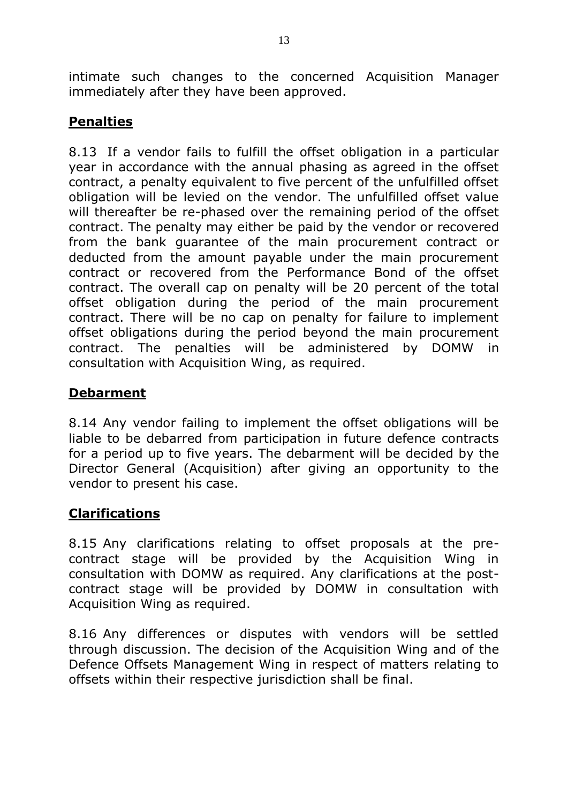intimate such changes to the concerned Acquisition Manager immediately after they have been approved.

## **Penalties**

8.13 If a vendor fails to fulfill the offset obligation in a particular year in accordance with the annual phasing as agreed in the offset contract, a penalty equivalent to five percent of the unfulfilled offset obligation will be levied on the vendor. The unfulfilled offset value will thereafter be re-phased over the remaining period of the offset contract. The penalty may either be paid by the vendor or recovered from the bank guarantee of the main procurement contract or deducted from the amount payable under the main procurement contract or recovered from the Performance Bond of the offset contract. The overall cap on penalty will be 20 percent of the total offset obligation during the period of the main procurement contract. There will be no cap on penalty for failure to implement offset obligations during the period beyond the main procurement contract. The penalties will be administered by DOMW in consultation with Acquisition Wing, as required.

## **Debarment**

8.14 Any vendor failing to implement the offset obligations will be liable to be debarred from participation in future defence contracts for a period up to five years. The debarment will be decided by the Director General (Acquisition) after giving an opportunity to the vendor to present his case.

## **Clarifications**

8.15 Any clarifications relating to offset proposals at the precontract stage will be provided by the Acquisition Wing in consultation with DOMW as required. Any clarifications at the postcontract stage will be provided by DOMW in consultation with Acquisition Wing as required.

8.16 Any differences or disputes with vendors will be settled through discussion. The decision of the Acquisition Wing and of the Defence Offsets Management Wing in respect of matters relating to offsets within their respective jurisdiction shall be final.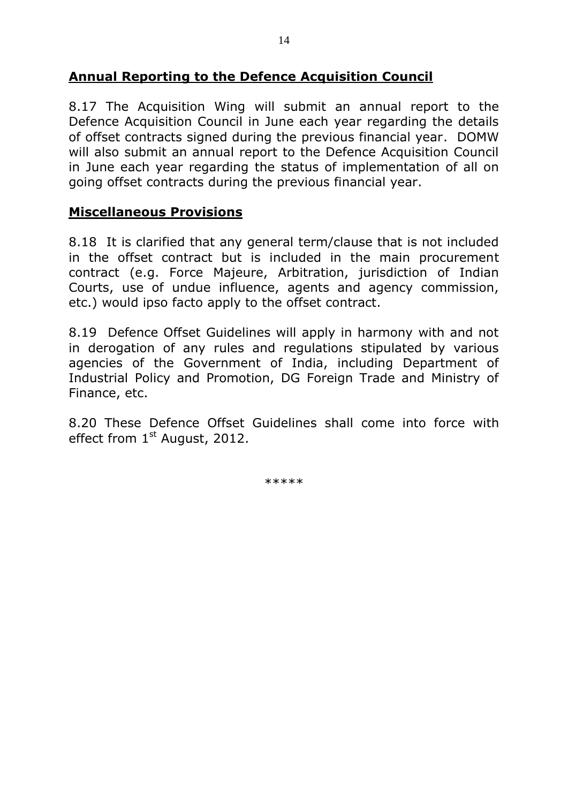#### **Annual Reporting to the Defence Acquisition Council**

8.17 The Acquisition Wing will submit an annual report to the Defence Acquisition Council in June each year regarding the details of offset contracts signed during the previous financial year. DOMW will also submit an annual report to the Defence Acquisition Council in June each year regarding the status of implementation of all on going offset contracts during the previous financial year.

#### **Miscellaneous Provisions**

8.18 It is clarified that any general term/clause that is not included in the offset contract but is included in the main procurement contract (e.g. Force Majeure, Arbitration, jurisdiction of Indian Courts, use of undue influence, agents and agency commission, etc.) would ipso facto apply to the offset contract.

8.19 Defence Offset Guidelines will apply in harmony with and not in derogation of any rules and regulations stipulated by various agencies of the Government of India, including Department of Industrial Policy and Promotion, DG Foreign Trade and Ministry of Finance, etc.

8.20 These Defence Offset Guidelines shall come into force with effect from 1<sup>st</sup> August, 2012.

\*\*\*\*\*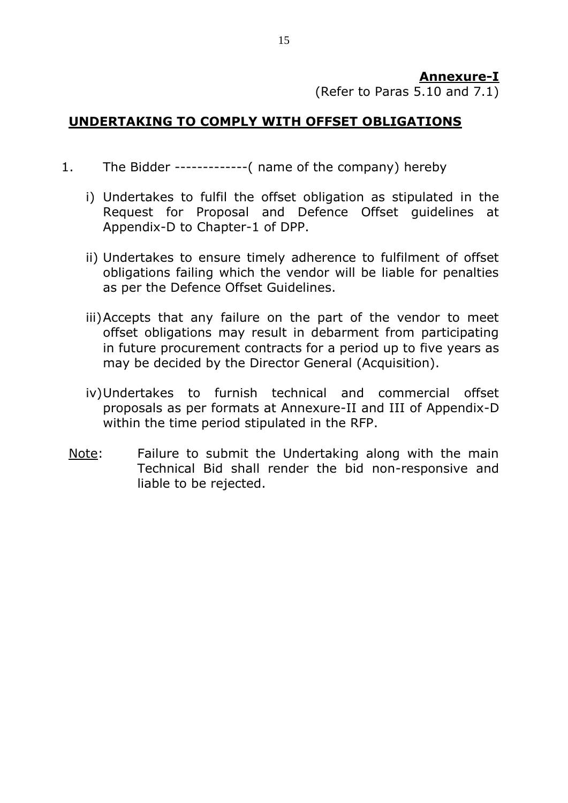#### **Annexure-I**

(Refer to Paras 5.10 and 7.1)

### **UNDERTAKING TO COMPLY WITH OFFSET OBLIGATIONS**

- 1. The Bidder -------------( name of the company) hereby
	- i) Undertakes to fulfil the offset obligation as stipulated in the Request for Proposal and Defence Offset guidelines at Appendix-D to Chapter-1 of DPP.
	- ii) Undertakes to ensure timely adherence to fulfilment of offset obligations failing which the vendor will be liable for penalties as per the Defence Offset Guidelines.
	- iii)Accepts that any failure on the part of the vendor to meet offset obligations may result in debarment from participating in future procurement contracts for a period up to five years as may be decided by the Director General (Acquisition).
	- iv)Undertakes to furnish technical and commercial offset proposals as per formats at Annexure-II and III of Appendix-D within the time period stipulated in the RFP.
	- Note: Failure to submit the Undertaking along with the main Technical Bid shall render the bid non-responsive and liable to be rejected.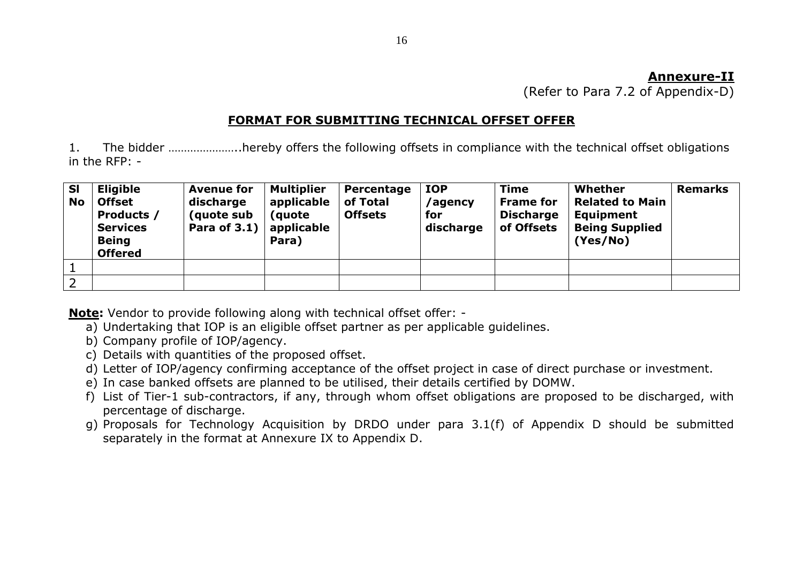#### **Annexure-II**

(Refer to Para 7.2 of Appendix-D)

#### **FORMAT FOR SUBMITTING TECHNICAL OFFSET OFFER**

1. The bidder …………………..hereby offers the following offsets in compliance with the technical offset obligations in the RFP: -

| <b>SI</b><br><b>No</b> | <b>Eligible</b><br><b>Offset</b><br>Products /<br><b>Services</b><br><b>Being</b><br><b>Offered</b> | <b>Avenue for</b><br>discharge<br>(quote sub<br>Para of 3.1) $ $ | <b>Multiplier</b><br>applicable<br>(quote)<br>applicable<br>Para) | Percentage<br>of Total<br><b>Offsets</b> | <b>IOP</b><br>/agency<br>for<br>discharge | <b>Time</b><br><b>Frame for</b><br><b>Discharge</b><br>of Offsets | Whether<br><b>Related to Main</b><br><b>Equipment</b><br><b>Being Supplied</b><br>(Yes/No) | <b>Remarks</b> |
|------------------------|-----------------------------------------------------------------------------------------------------|------------------------------------------------------------------|-------------------------------------------------------------------|------------------------------------------|-------------------------------------------|-------------------------------------------------------------------|--------------------------------------------------------------------------------------------|----------------|
|                        |                                                                                                     |                                                                  |                                                                   |                                          |                                           |                                                                   |                                                                                            |                |
| $\overline{2}$         |                                                                                                     |                                                                  |                                                                   |                                          |                                           |                                                                   |                                                                                            |                |

**Note:** Vendor to provide following along with technical offset offer: -

- a) Undertaking that IOP is an eligible offset partner as per applicable guidelines.
- b) Company profile of IOP/agency.
- c) Details with quantities of the proposed offset.
- d) Letter of IOP/agency confirming acceptance of the offset project in case of direct purchase or investment.
- e) In case banked offsets are planned to be utilised, their details certified by DOMW.
- f) List of Tier-1 sub-contractors, if any, through whom offset obligations are proposed to be discharged, with percentage of discharge.
- g) Proposals for Technology Acquisition by DRDO under para 3.1(f) of Appendix D should be submitted separately in the format at Annexure IX to Appendix D.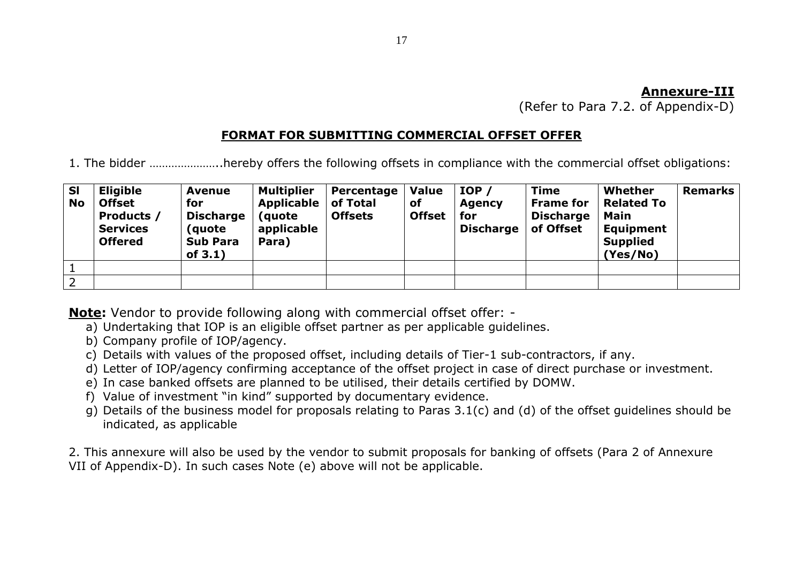#### **Annexure-III**

(Refer to Para 7.2. of Appendix-D)

#### **FORMAT FOR SUBMITTING COMMERCIAL OFFSET OFFER**

1. The bidder …………………..hereby offers the following offsets in compliance with the commercial offset obligations:

| <b>SI</b><br><b>No</b> | <b>Eligible</b><br><b>Offset</b><br>Products /<br><b>Services</b><br><b>Offered</b> | <b>Avenue</b><br>for<br><b>Discharge</b><br>(quote)<br><b>Sub Para</b><br>of $3.1$ ) | <b>Multiplier</b><br>Applicable<br>(quote<br>applicable<br>Para) | Percentage<br>of Total<br><b>Offsets</b> | <b>Value</b><br><b>of</b><br><b>Offset</b> | IOP/<br><b>Agency</b><br>for<br><b>Discharge</b> | <b>Time</b><br><b>Frame for</b><br><b>Discharge</b><br>of Offset | Whether<br><b>Related To</b><br>Main<br><b>Equipment</b><br><b>Supplied</b><br>(Yes/No) | <b>Remarks</b> |
|------------------------|-------------------------------------------------------------------------------------|--------------------------------------------------------------------------------------|------------------------------------------------------------------|------------------------------------------|--------------------------------------------|--------------------------------------------------|------------------------------------------------------------------|-----------------------------------------------------------------------------------------|----------------|
|                        |                                                                                     |                                                                                      |                                                                  |                                          |                                            |                                                  |                                                                  |                                                                                         |                |
| 2                      |                                                                                     |                                                                                      |                                                                  |                                          |                                            |                                                  |                                                                  |                                                                                         |                |

**Note:** Vendor to provide following along with commercial offset offer: -

- a) Undertaking that IOP is an eligible offset partner as per applicable guidelines.
- b) Company profile of IOP/agency.
- c) Details with values of the proposed offset, including details of Tier-1 sub-contractors, if any.
- d) Letter of IOP/agency confirming acceptance of the offset project in case of direct purchase or investment.
- e) In case banked offsets are planned to be utilised, their details certified by DOMW.
- f) Value of investment "in kind" supported by documentary evidence.
- g) Details of the business model for proposals relating to Paras 3.1(c) and (d) of the offset guidelines should be indicated, as applicable

2. This annexure will also be used by the vendor to submit proposals for banking of offsets (Para 2 of Annexure VII of Appendix-D). In such cases Note (e) above will not be applicable.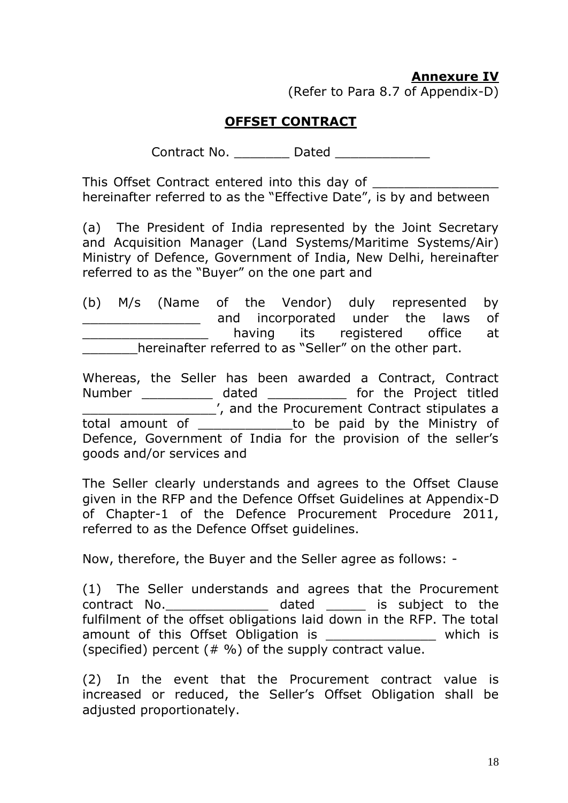## **Annexure IV**

(Refer to Para 8.7 of Appendix-D)

### **OFFSET CONTRACT**

Contract No. \_\_\_\_\_\_\_\_ Dated \_\_\_\_\_\_\_\_\_\_\_\_\_\_

This Offset Contract entered into this day of hereinafter referred to as the "Effective Date", is by and between

(a) The President of India represented by the Joint Secretary and Acquisition Manager (Land Systems/Maritime Systems/Air) Ministry of Defence, Government of India, New Delhi, hereinafter referred to as the "Buyer" on the one part and

(b) M/s (Name of the Vendor) duly represented by **EXECUTE:** The laws of having its registered office at **EXECUTE:** hereinafter referred to as "Seller" on the other part.

Whereas, the Seller has been awarded a Contract, Contract Number \_\_\_\_\_\_\_\_\_ dated \_\_\_\_\_\_\_\_\_\_ for the Project titled \_\_\_\_\_\_\_\_\_\_\_\_\_\_\_\_\_', and the Procurement Contract stipulates a total amount of \_\_\_\_\_\_\_\_\_\_\_\_to be paid by the Ministry of Defence, Government of India for the provision of the seller's goods and/or services and

The Seller clearly understands and agrees to the Offset Clause given in the RFP and the Defence Offset Guidelines at Appendix-D of Chapter-1 of the Defence Procurement Procedure 2011, referred to as the Defence Offset guidelines.

Now, therefore, the Buyer and the Seller agree as follows: -

(1) The Seller understands and agrees that the Procurement contract No. \_\_\_\_\_\_\_\_\_\_\_\_\_\_\_\_ dated \_\_\_\_\_\_ is subject to the fulfilment of the offset obligations laid down in the RFP. The total amount of this Offset Obligation is The United States which is (specified) percent  $(4\%)$  of the supply contract value.

(2) In the event that the Procurement contract value is increased or reduced, the Seller's Offset Obligation shall be adjusted proportionately.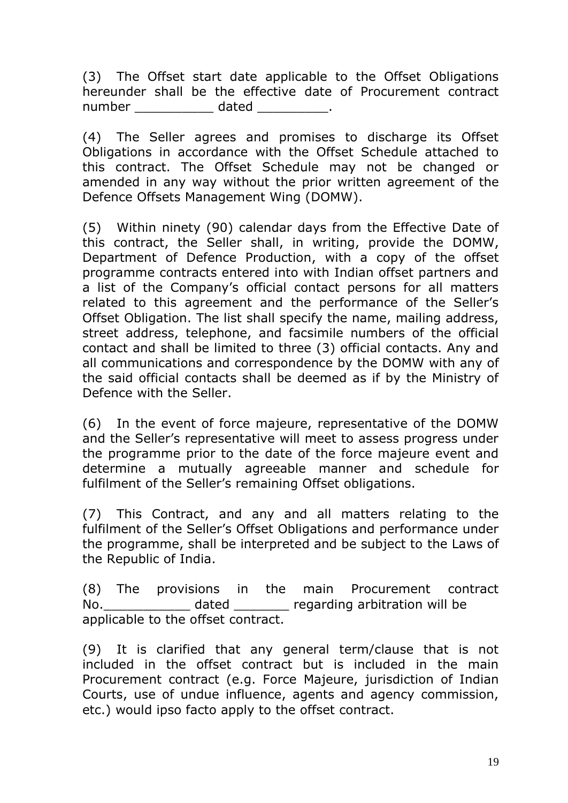(3) The Offset start date applicable to the Offset Obligations hereunder shall be the effective date of Procurement contract number dated the date of the control of the date of the control of the control of the control of the control o

(4) The Seller agrees and promises to discharge its Offset Obligations in accordance with the Offset Schedule attached to this contract. The Offset Schedule may not be changed or amended in any way without the prior written agreement of the Defence Offsets Management Wing (DOMW).

(5) Within ninety (90) calendar days from the Effective Date of this contract, the Seller shall, in writing, provide the DOMW, Department of Defence Production, with a copy of the offset programme contracts entered into with Indian offset partners and a list of the Company's official contact persons for all matters related to this agreement and the performance of the Seller's Offset Obligation. The list shall specify the name, mailing address, street address, telephone, and facsimile numbers of the official contact and shall be limited to three (3) official contacts. Any and all communications and correspondence by the DOMW with any of the said official contacts shall be deemed as if by the Ministry of Defence with the Seller.

(6) In the event of force majeure, representative of the DOMW and the Seller's representative will meet to assess progress under the programme prior to the date of the force majeure event and determine a mutually agreeable manner and schedule for fulfilment of the Seller's remaining Offset obligations.

(7) This Contract, and any and all matters relating to the fulfilment of the Seller's Offset Obligations and performance under the programme, shall be interpreted and be subject to the Laws of the Republic of India.

(8) The provisions in the main Procurement contract No.\_\_\_\_\_\_\_\_\_\_\_ dated \_\_\_\_\_\_\_ regarding arbitration will be applicable to the offset contract.

(9) It is clarified that any general term/clause that is not included in the offset contract but is included in the main Procurement contract (e.g. Force Majeure, jurisdiction of Indian Courts, use of undue influence, agents and agency commission, etc.) would ipso facto apply to the offset contract.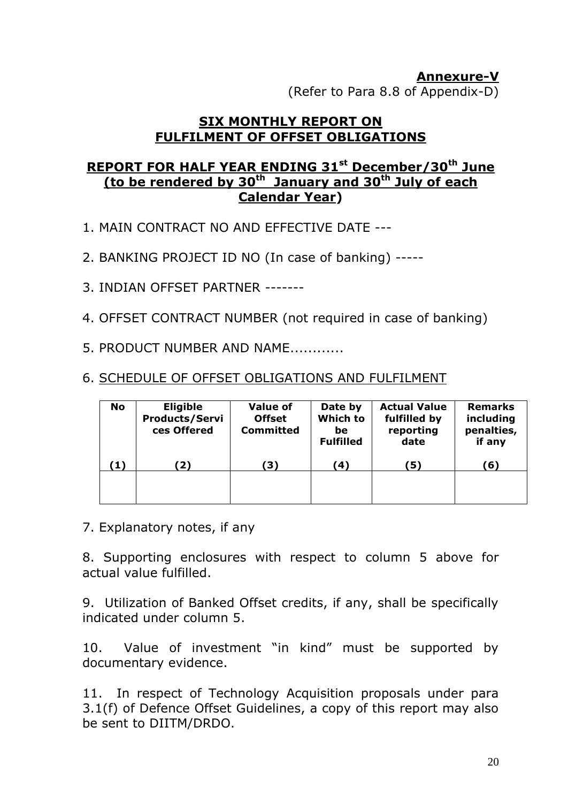#### **Annexure-V** (Refer to Para 8.8 of Appendix-D)

#### **SIX MONTHLY REPORT ON FULFILMENT OF OFFSET OBLIGATIONS**

## **REPORT FOR HALF YEAR ENDING 31st December/30th June (to be rendered by 30th January and 30th July of each Calendar Year)**

- 1. MAIN CONTRACT NO AND EFFECTIVE DATE ---
- 2. BANKING PROJECT ID NO (In case of banking) -----
- 3. INDIAN OFFSET PARTNER -------
- 4. OFFSET CONTRACT NUMBER (not required in case of banking)
- 5. PRODUCT NUMBER AND NAME............
- 6. SCHEDULE OF OFFSET OBLIGATIONS AND FULFILMENT

| No  | <b>Eligible</b><br><b>Products/Servi</b><br>ces Offered | <b>Value of</b><br><b>Offset</b><br><b>Committed</b> | Date by<br>Which to<br>be<br><b>Fulfilled</b> | <b>Actual Value</b><br>fulfilled by<br>reporting<br>date | <b>Remarks</b><br>including<br>penalties,<br>if any |
|-----|---------------------------------------------------------|------------------------------------------------------|-----------------------------------------------|----------------------------------------------------------|-----------------------------------------------------|
| (1) | 2)                                                      | 3)                                                   | (4)                                           | '5)                                                      | (6)                                                 |
|     |                                                         |                                                      |                                               |                                                          |                                                     |

7. Explanatory notes, if any

8. Supporting enclosures with respect to column 5 above for actual value fulfilled.

9. Utilization of Banked Offset credits, if any, shall be specifically indicated under column 5.

10. Value of investment "in kind" must be supported by documentary evidence.

11. In respect of Technology Acquisition proposals under para 3.1(f) of Defence Offset Guidelines, a copy of this report may also be sent to DIITM/DRDO.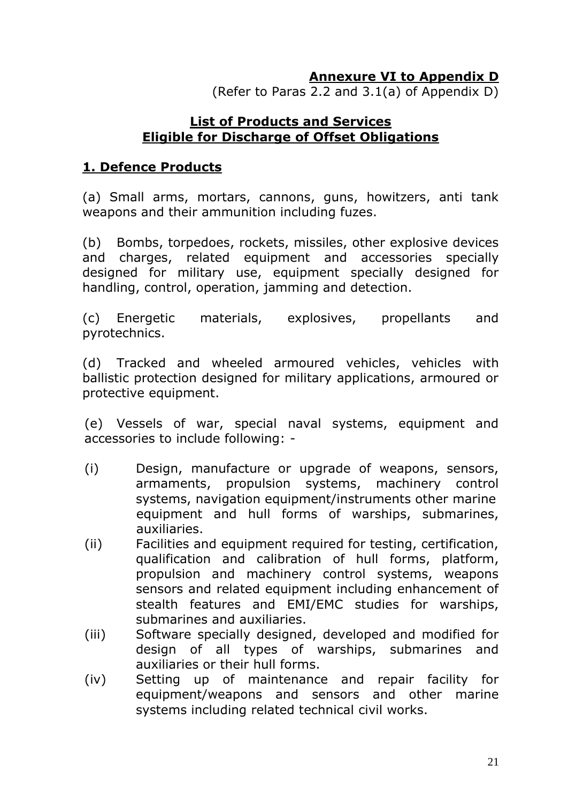## **Annexure VI to Appendix D**

(Refer to Paras 2.2 and 3.1(a) of Appendix D)

#### **List of Products and Services Eligible for Discharge of Offset Obligations**

#### **1. Defence Products**

(a) Small arms, mortars, cannons, guns, howitzers, anti tank weapons and their ammunition including fuzes.

(b) Bombs, torpedoes, rockets, missiles, other explosive devices and charges, related equipment and accessories specially designed for military use, equipment specially designed for handling, control, operation, jamming and detection.

(c) Energetic materials, explosives, propellants and pyrotechnics.

(d) Tracked and wheeled armoured vehicles, vehicles with ballistic protection designed for military applications, armoured or protective equipment.

(e) Vessels of war, special naval systems, equipment and accessories to include following: -

- (i) Design, manufacture or upgrade of weapons, sensors, armaments, propulsion systems, machinery control systems, navigation equipment/instruments other marine equipment and hull forms of warships, submarines, auxiliaries.
- (ii) Facilities and equipment required for testing, certification, qualification and calibration of hull forms, platform, propulsion and machinery control systems, weapons sensors and related equipment including enhancement of stealth features and EMI/EMC studies for warships, submarines and auxiliaries.
- (iii) Software specially designed, developed and modified for design of all types of warships, submarines and auxiliaries or their hull forms.
- (iv) Setting up of maintenance and repair facility for equipment/weapons and sensors and other marine systems including related technical civil works.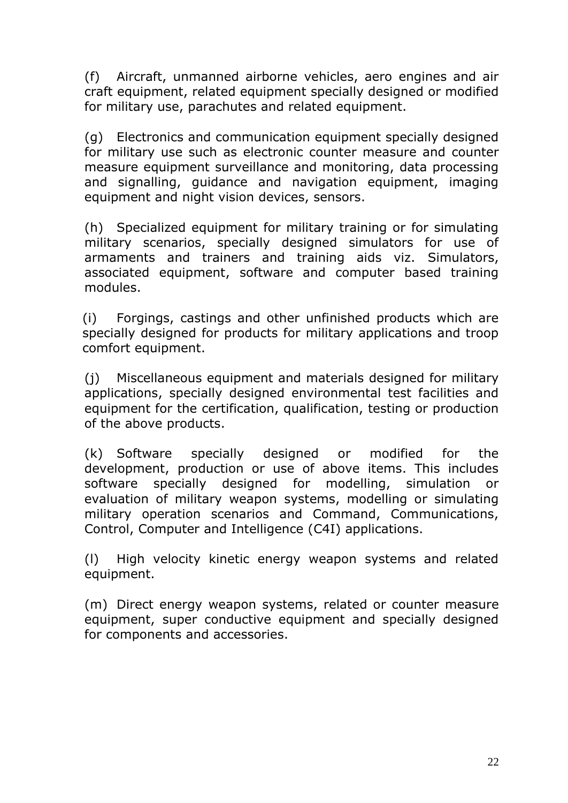(f) Aircraft, unmanned airborne vehicles, aero engines and air craft equipment, related equipment specially designed or modified for military use, parachutes and related equipment.

(g) Electronics and communication equipment specially designed for military use such as electronic counter measure and counter measure equipment surveillance and monitoring, data processing and signalling, guidance and navigation equipment, imaging equipment and night vision devices, sensors.

(h) Specialized equipment for military training or for simulating military scenarios, specially designed simulators for use of armaments and trainers and training aids viz. Simulators, associated equipment, software and computer based training modules.

(i) Forgings, castings and other unfinished products which are specially designed for products for military applications and troop comfort equipment.

(j) Miscellaneous equipment and materials designed for military applications, specially designed environmental test facilities and equipment for the certification, qualification, testing or production of the above products.

(k) Software specially designed or modified for the development, production or use of above items. This includes software specially designed for modelling, simulation or evaluation of military weapon systems, modelling or simulating military operation scenarios and Command, Communications, Control, Computer and Intelligence (C4I) applications.

(l) High velocity kinetic energy weapon systems and related equipment.

(m) Direct energy weapon systems, related or counter measure equipment, super conductive equipment and specially designed for components and accessories.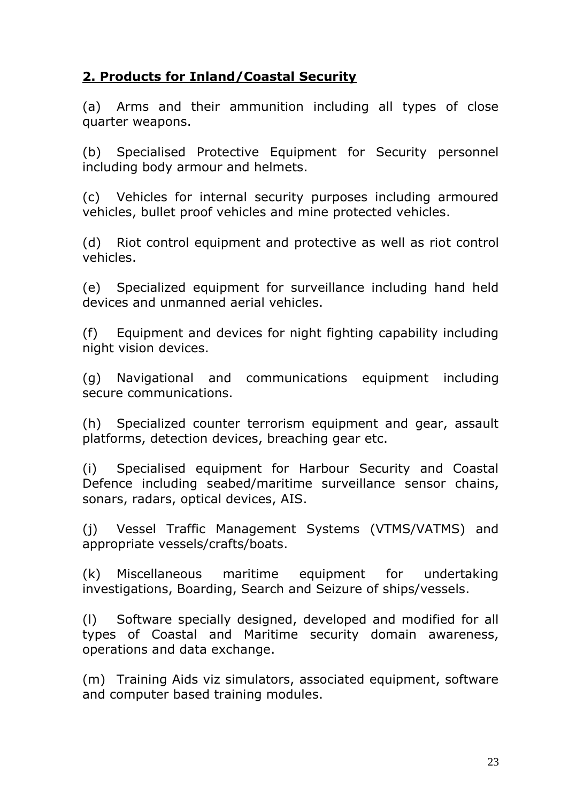# **2. Products for Inland/Coastal Security**

(a) Arms and their ammunition including all types of close quarter weapons.

(b) Specialised Protective Equipment for Security personnel including body armour and helmets.

(c) Vehicles for internal security purposes including armoured vehicles, bullet proof vehicles and mine protected vehicles.

(d) Riot control equipment and protective as well as riot control vehicles.

(e) Specialized equipment for surveillance including hand held devices and unmanned aerial vehicles.

(f) Equipment and devices for night fighting capability including night vision devices.

(g) Navigational and communications equipment including secure communications.

(h) Specialized counter terrorism equipment and gear, assault platforms, detection devices, breaching gear etc.

(i) Specialised equipment for Harbour Security and Coastal Defence including seabed/maritime surveillance sensor chains, sonars, radars, optical devices, AIS.

(j) Vessel Traffic Management Systems (VTMS/VATMS) and appropriate vessels/crafts/boats.

(k) Miscellaneous maritime equipment for undertaking investigations, Boarding, Search and Seizure of ships/vessels.

(l) Software specially designed, developed and modified for all types of Coastal and Maritime security domain awareness, operations and data exchange.

(m) Training Aids viz simulators, associated equipment, software and computer based training modules.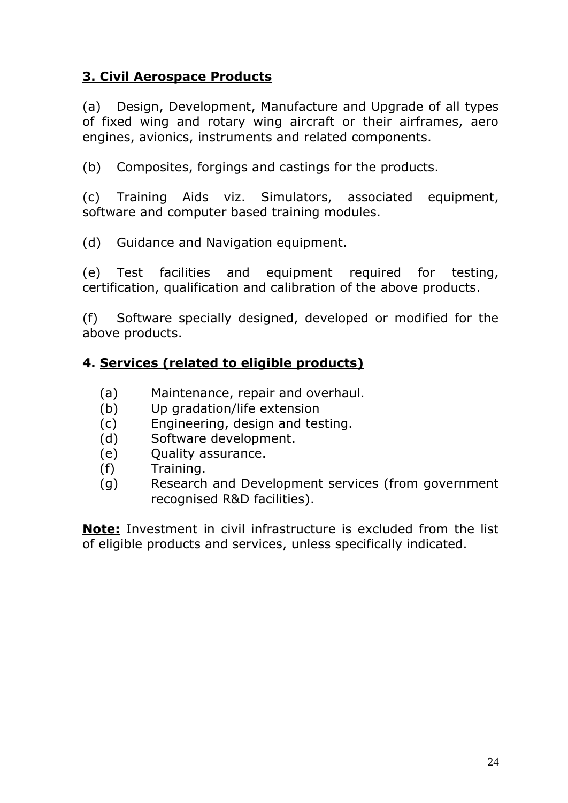## **3. Civil Aerospace Products**

(a) Design, Development, Manufacture and Upgrade of all types of fixed wing and rotary wing aircraft or their airframes, aero engines, avionics, instruments and related components.

(b) Composites, forgings and castings for the products.

(c) Training Aids viz. Simulators, associated equipment, software and computer based training modules.

(d) Guidance and Navigation equipment.

(e) Test facilities and equipment required for testing, certification, qualification and calibration of the above products.

(f) Software specially designed, developed or modified for the above products.

## **4. Services (related to eligible products)**

- (a) Maintenance, repair and overhaul.
- (b) Up gradation/life extension
- (c) Engineering, design and testing.
- (d) Software development.
- (e) Quality assurance.
- (f) Training.
- (g) Research and Development services (from government recognised R&D facilities).

**Note:** Investment in civil infrastructure is excluded from the list of eligible products and services, unless specifically indicated.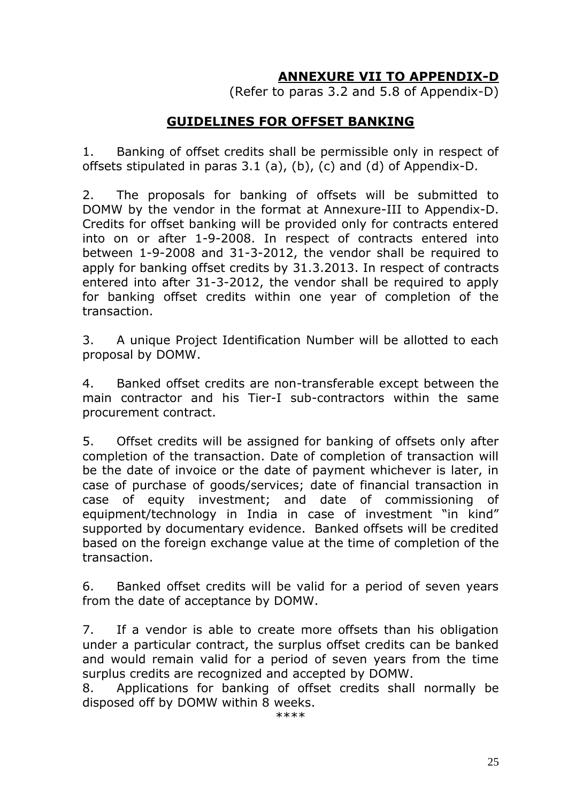# **ANNEXURE VII TO APPENDIX-D**

(Refer to paras 3.2 and 5.8 of Appendix-D)

#### **GUIDELINES FOR OFFSET BANKING**

1. Banking of offset credits shall be permissible only in respect of offsets stipulated in paras 3.1 (a), (b), (c) and (d) of Appendix-D.

2. The proposals for banking of offsets will be submitted to DOMW by the vendor in the format at Annexure-III to Appendix-D. Credits for offset banking will be provided only for contracts entered into on or after 1-9-2008. In respect of contracts entered into between 1-9-2008 and 31-3-2012, the vendor shall be required to apply for banking offset credits by 31.3.2013. In respect of contracts entered into after 31-3-2012, the vendor shall be required to apply for banking offset credits within one year of completion of the transaction.

3. A unique Project Identification Number will be allotted to each proposal by DOMW.

4. Banked offset credits are non-transferable except between the main contractor and his Tier-I sub-contractors within the same procurement contract.

5. Offset credits will be assigned for banking of offsets only after completion of the transaction. Date of completion of transaction will be the date of invoice or the date of payment whichever is later, in case of purchase of goods/services; date of financial transaction in case of equity investment; and date of commissioning of equipment/technology in India in case of investment "in kind" supported by documentary evidence. Banked offsets will be credited based on the foreign exchange value at the time of completion of the transaction.

6. Banked offset credits will be valid for a period of seven years from the date of acceptance by DOMW.

7. If a vendor is able to create more offsets than his obligation under a particular contract, the surplus offset credits can be banked and would remain valid for a period of seven years from the time surplus credits are recognized and accepted by DOMW.

8. Applications for banking of offset credits shall normally be disposed off by DOMW within 8 weeks.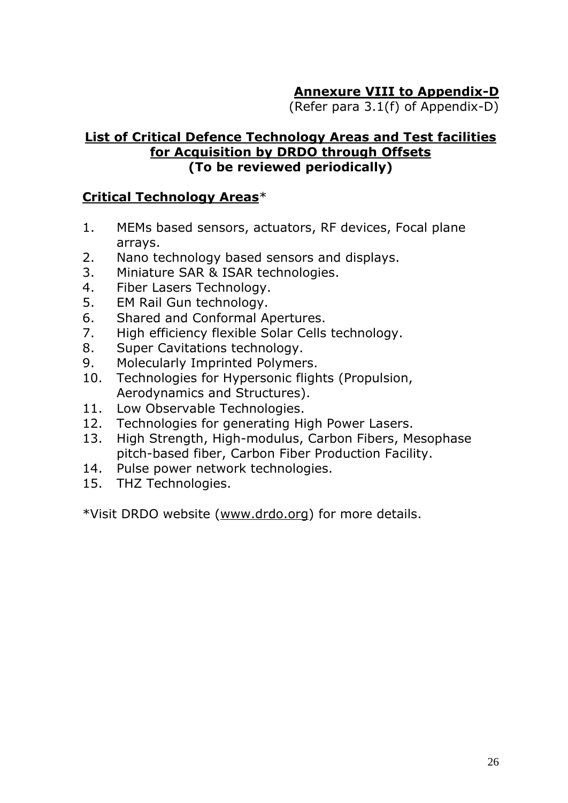# **Annexure VIII to Appendix-D**

(Refer para 3.1(f) of Appendix-D)

#### **List of Critical Defence Technology Areas and Test facilities for Acquisition by DRDO through Offsets (To be reviewed periodically)**

#### **Critical Technology Areas**\*

- 1. MEMs based sensors, actuators, RF devices, Focal plane arrays.
- 2. Nano technology based sensors and displays.
- 3. Miniature SAR & ISAR technologies.
- 4. Fiber Lasers Technology.
- 5. EM Rail Gun technology.
- 6. Shared and Conformal Apertures.
- 7. High efficiency flexible Solar Cells technology.
- 8. Super Cavitations technology.
- 9. Molecularly Imprinted Polymers.
- 10. Technologies for Hypersonic flights (Propulsion, Aerodynamics and Structures).
- 11. Low Observable Technologies.
- 12. Technologies for generating High Power Lasers.
- 13. High Strength, High-modulus, Carbon Fibers, Mesophase pitch-based fiber, Carbon Fiber Production Facility.
- 14. Pulse power network technologies.
- 15. THZ Technologies.

\*Visit DRDO website [\(www.drdo.org\)](http://www.drdo.org/) for more details.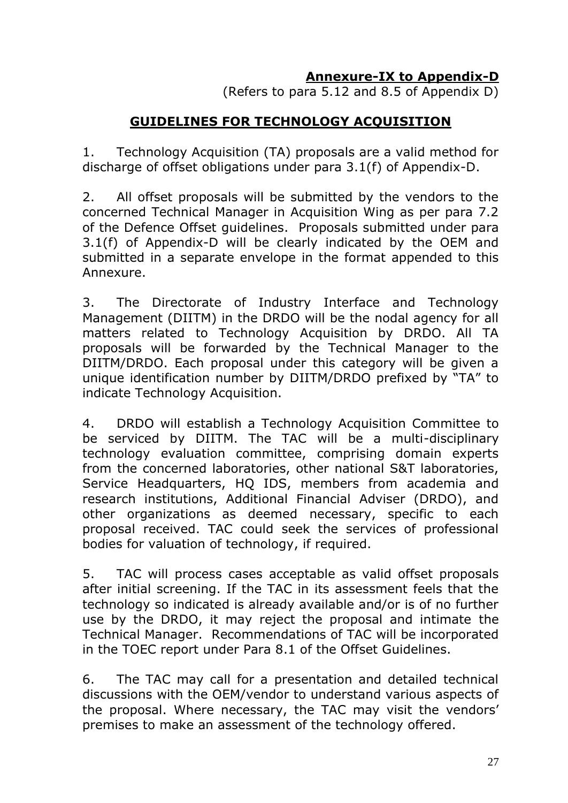## **Annexure-IX to Appendix-D**

(Refers to para 5.12 and 8.5 of Appendix D)

## **GUIDELINES FOR TECHNOLOGY ACQUISITION**

1. Technology Acquisition (TA) proposals are a valid method for discharge of offset obligations under para 3.1(f) of Appendix-D.

2. All offset proposals will be submitted by the vendors to the concerned Technical Manager in Acquisition Wing as per para 7.2 of the Defence Offset guidelines. Proposals submitted under para 3.1(f) of Appendix-D will be clearly indicated by the OEM and submitted in a separate envelope in the format appended to this Annexure.

3. The Directorate of Industry Interface and Technology Management (DIITM) in the DRDO will be the nodal agency for all matters related to Technology Acquisition by DRDO. All TA proposals will be forwarded by the Technical Manager to the DIITM/DRDO. Each proposal under this category will be given a unique identification number by DIITM/DRDO prefixed by "TA" to indicate Technology Acquisition.

4. DRDO will establish a Technology Acquisition Committee to be serviced by DIITM. The TAC will be a multi-disciplinary technology evaluation committee, comprising domain experts from the concerned laboratories, other national S&T laboratories, Service Headquarters, HQ IDS, members from academia and research institutions, Additional Financial Adviser (DRDO), and other organizations as deemed necessary, specific to each proposal received. TAC could seek the services of professional bodies for valuation of technology, if required.

5. TAC will process cases acceptable as valid offset proposals after initial screening. If the TAC in its assessment feels that the technology so indicated is already available and/or is of no further use by the DRDO, it may reject the proposal and intimate the Technical Manager. Recommendations of TAC will be incorporated in the TOEC report under Para 8.1 of the Offset Guidelines.

6. The TAC may call for a presentation and detailed technical discussions with the OEM/vendor to understand various aspects of the proposal. Where necessary, the TAC may visit the vendors' premises to make an assessment of the technology offered.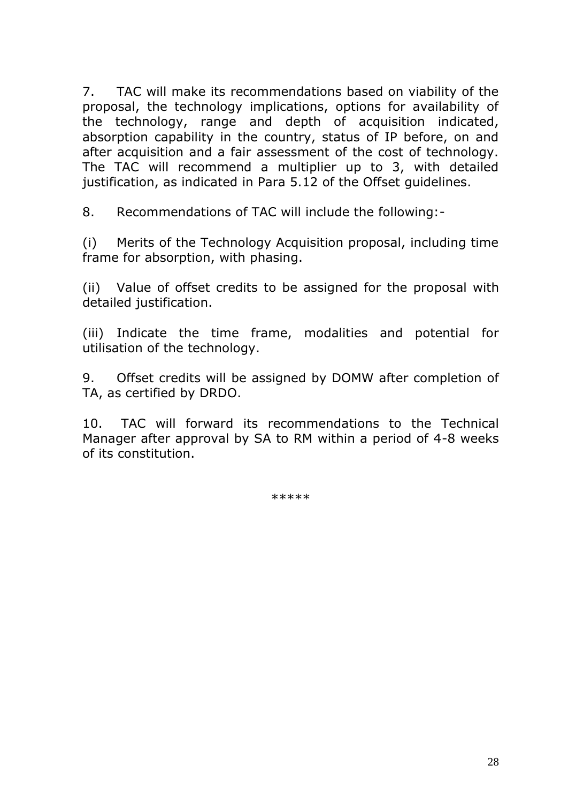7. TAC will make its recommendations based on viability of the proposal, the technology implications, options for availability of the technology, range and depth of acquisition indicated, absorption capability in the country, status of IP before, on and after acquisition and a fair assessment of the cost of technology. The TAC will recommend a multiplier up to 3, with detailed justification, as indicated in Para 5.12 of the Offset guidelines.

8. Recommendations of TAC will include the following:-

(i) Merits of the Technology Acquisition proposal, including time frame for absorption, with phasing.

(ii) Value of offset credits to be assigned for the proposal with detailed justification.

(iii) Indicate the time frame, modalities and potential for utilisation of the technology.

9. Offset credits will be assigned by DOMW after completion of TA, as certified by DRDO.

10. TAC will forward its recommendations to the Technical Manager after approval by SA to RM within a period of 4-8 weeks of its constitution.

\*\*\*\*\*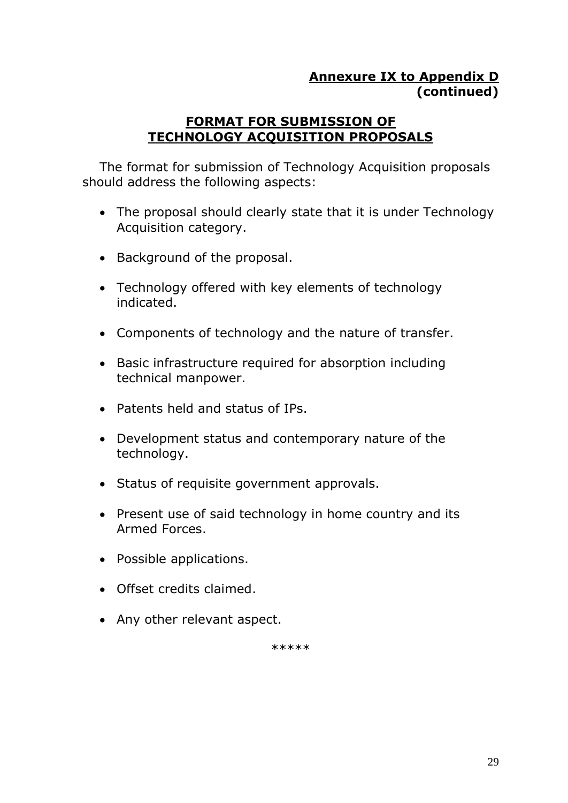## **Annexure IX to Appendix D (continued)**

#### **FORMAT FOR SUBMISSION OF TECHNOLOGY ACQUISITION PROPOSALS**

The format for submission of Technology Acquisition proposals should address the following aspects:

- The proposal should clearly state that it is under Technology Acquisition category.
- Background of the proposal.
- Technology offered with key elements of technology indicated.
- Components of technology and the nature of transfer.
- Basic infrastructure required for absorption including technical manpower.
- Patents held and status of IPs.
- Development status and contemporary nature of the technology.
- Status of requisite government approvals.
- Present use of said technology in home country and its Armed Forces.
- Possible applications.
- Offset credits claimed.
- Any other relevant aspect.

\*\*\*\*\*